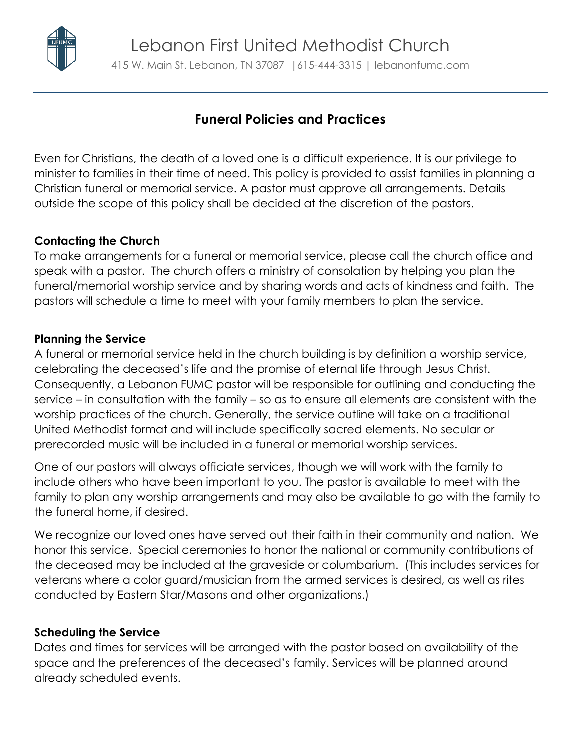

**Funeral Policies and Practices**

Even for Christians, the death of a loved one is a difficult experience. It is our privilege to minister to families in their time of need. This policy is provided to assist families in planning a Christian funeral or memorial service. A pastor must approve all arrangements. Details outside the scope of this policy shall be decided at the discretion of the pastors.

# **Contacting the Church**

To make arrangements for a funeral or memorial service, please call the church office and speak with a pastor. The church offers a ministry of consolation by helping you plan the funeral/memorial worship service and by sharing words and acts of kindness and faith. The pastors will schedule a time to meet with your family members to plan the service.

# **Planning the Service**

A funeral or memorial service held in the church building is by definition a worship service, celebrating the deceased's life and the promise of eternal life through Jesus Christ. Consequently, a Lebanon FUMC pastor will be responsible for outlining and conducting the service – in consultation with the family – so as to ensure all elements are consistent with the worship practices of the church. Generally, the service outline will take on a traditional United Methodist format and will include specifically sacred elements. No secular or prerecorded music will be included in a funeral or memorial worship services.

One of our pastors will always officiate services, though we will work with the family to include others who have been important to you. The pastor is available to meet with the family to plan any worship arrangements and may also be available to go with the family to the funeral home, if desired.

We recognize our loved ones have served out their faith in their community and nation. We honor this service. Special ceremonies to honor the national or community contributions of the deceased may be included at the graveside or columbarium. (This includes services for veterans where a color guard/musician from the armed services is desired, as well as rites conducted by Eastern Star/Masons and other organizations.)

## **Scheduling the Service**

Dates and times for services will be arranged with the pastor based on availability of the space and the preferences of the deceased's family. Services will be planned around already scheduled events.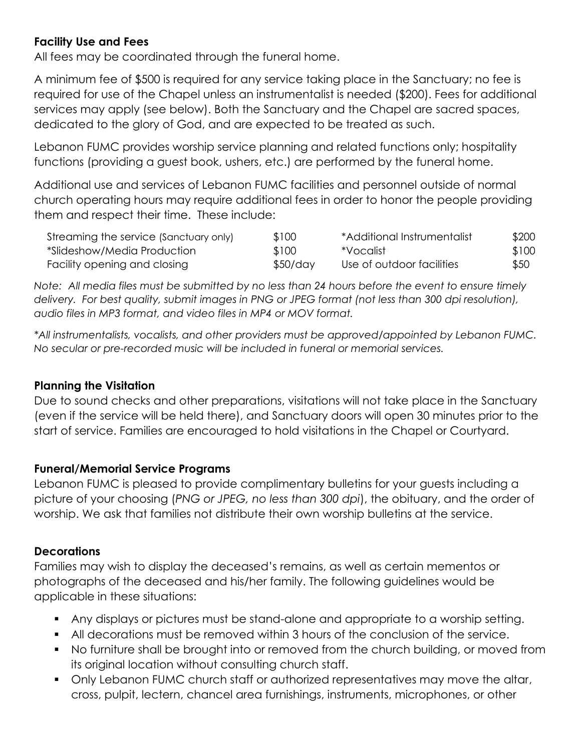## **Facility Use and Fees**

All fees may be coordinated through the funeral home.

A minimum fee of \$500 is required for any service taking place in the Sanctuary; no fee is required for use of the Chapel unless an instrumentalist is needed (\$200). Fees for additional services may apply (see below). Both the Sanctuary and the Chapel are sacred spaces, dedicated to the glory of God, and are expected to be treated as such.

Lebanon FUMC provides worship service planning and related functions only; hospitality functions (providing a guest book, ushers, etc.) are performed by the funeral home.

Additional use and services of Lebanon FUMC facilities and personnel outside of normal church operating hours may require additional fees in order to honor the people providing them and respect their time. These include:

| Streaming the service (Sanctuary only) | \$100    | *Additional Instrumentalist | \$200 |
|----------------------------------------|----------|-----------------------------|-------|
| *Slideshow/Media Production            | \$100    | *Vocalist                   | \$100 |
| Facility opening and closing           | \$50/day | Use of outdoor facilities   | \$50  |

*Note: All media files must be submitted by no less than 24 hours before the event to ensure timely delivery. For best quality, submit images in PNG or JPEG format (not less than 300 dpi resolution), audio files in MP3 format, and video files in MP4 or MOV format.*

*\*All instrumentalists, vocalists, and other providers must be approved/appointed by Lebanon FUMC. No secular or pre-recorded music will be included in funeral or memorial services.*

## **Planning the Visitation**

Due to sound checks and other preparations, visitations will not take place in the Sanctuary (even if the service will be held there), and Sanctuary doors will open 30 minutes prior to the start of service. Families are encouraged to hold visitations in the Chapel or Courtyard.

## **Funeral/Memorial Service Programs**

Lebanon FUMC is pleased to provide complimentary bulletins for your guests including a picture of your choosing (*PNG or JPEG, no less than 300 dpi*), the obituary, and the order of worship. We ask that families not distribute their own worship bulletins at the service.

## **Decorations**

Families may wish to display the deceased's remains, as well as certain mementos or photographs of the deceased and his/her family. The following guidelines would be applicable in these situations:

- Any displays or pictures must be stand-alone and appropriate to a worship setting.
- All decorations must be removed within 3 hours of the conclusion of the service.
- No furniture shall be brought into or removed from the church building, or moved from its original location without consulting church staff.
- Only Lebanon FUMC church staff or authorized representatives may move the altar, cross, pulpit, lectern, chancel area furnishings, instruments, microphones, or other